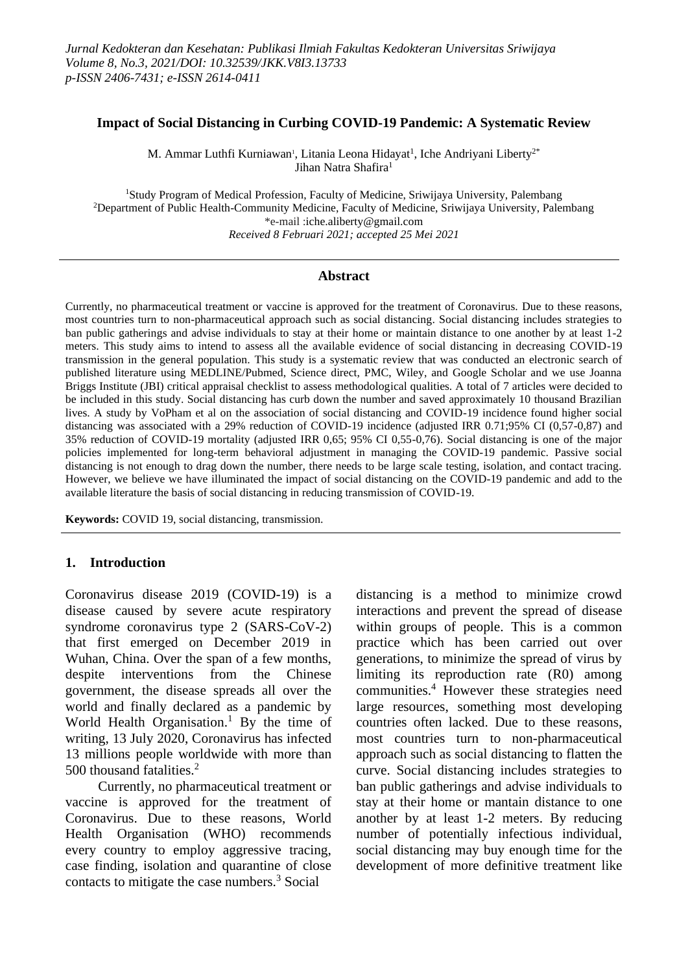#### **Impact of Social Distancing in Curbing COVID-19 Pandemic: A Systematic Review**

M. Ammar Luthfi Kurniawan<sup>i</sup>, Litania Leona Hidayat<sup>1</sup>, Iche Andriyani Liberty<sup>2\*</sup> Jihan Natra Shafira<sup>1</sup>

<sup>1</sup>Study Program of Medical Profession, Faculty of Medicine, Sriwijaya University, Palembang <sup>2</sup>Department of Public Health-Community Medicine, Faculty of Medicine, Sriwijaya University, Palembang \*e-mail [:iche.aliberty@gmail.com](mailto:iche.aliberty@gmail.com) *Received 8 Februari 2021; accepted 25 Mei 2021*

### **Abstract**

Currently, no pharmaceutical treatment or vaccine is approved for the treatment of Coronavirus. Due to these reasons, most countries turn to non-pharmaceutical approach such as social distancing. Social distancing includes strategies to ban public gatherings and advise individuals to stay at their home or maintain distance to one another by at least 1-2 meters. This study aims to intend to assess all the available evidence of social distancing in decreasing COVID-19 transmission in the general population. This study is a systematic review that was conducted an electronic search of published literature using MEDLINE/Pubmed, Science direct, PMC, Wiley, and Google Scholar and we use Joanna Briggs Institute (JBI) critical appraisal checklist to assess methodological qualities. A total of 7 articles were decided to be included in this study. Social distancing has curb down the number and saved approximately 10 thousand Brazilian lives. A study by VoPham et al on the association of social distancing and COVID-19 incidence found higher social distancing was associated with a 29% reduction of COVID-19 incidence (adjusted IRR 0.71;95% CI (0,57-0,87) and 35% reduction of COVID-19 mortality (adjusted IRR 0,65; 95% CI 0,55-0,76). Social distancing is one of the major policies implemented for long-term behavioral adjustment in managing the COVID-19 pandemic. Passive social distancing is not enough to drag down the number, there needs to be large scale testing, isolation, and contact tracing. However, we believe we have illuminated the impact of social distancing on the COVID-19 pandemic and add to the available literature the basis of social distancing in reducing transmission of COVID-19.

**Keywords:** COVID 19, social distancing, transmission.

#### **1. Introduction**

Coronavirus disease 2019 (COVID-19) is a disease caused by severe acute respiratory syndrome coronavirus type 2 (SARS-CoV-2) that first emerged on December 2019 in Wuhan, China. Over the span of a few months, despite interventions from the Chinese government, the disease spreads all over the world and finally declared as a pandemic by World Health Organisation.<sup>1</sup> By the time of writing, 13 July 2020, Coronavirus has infected 13 millions people worldwide with more than 500 thousand fatalities.<sup>2</sup>

Currently, no pharmaceutical treatment or vaccine is approved for the treatment of Coronavirus. Due to these reasons, World Health Organisation (WHO) recommends every country to employ aggressive tracing, case finding, isolation and quarantine of close contacts to mitigate the case numbers.<sup>3</sup> Social

distancing is a method to minimize crowd interactions and prevent the spread of disease within groups of people. This is a common practice which has been carried out over generations, to minimize the spread of virus by limiting its reproduction rate (R0) among communities. <sup>4</sup> However these strategies need large resources, something most developing countries often lacked. Due to these reasons, most countries turn to non-pharmaceutical approach such as social distancing to flatten the curve. Social distancing includes strategies to ban public gatherings and advise individuals to stay at their home or mantain distance to one another by at least 1-2 meters. By reducing number of potentially infectious individual, social distancing may buy enough time for the development of more definitive treatment like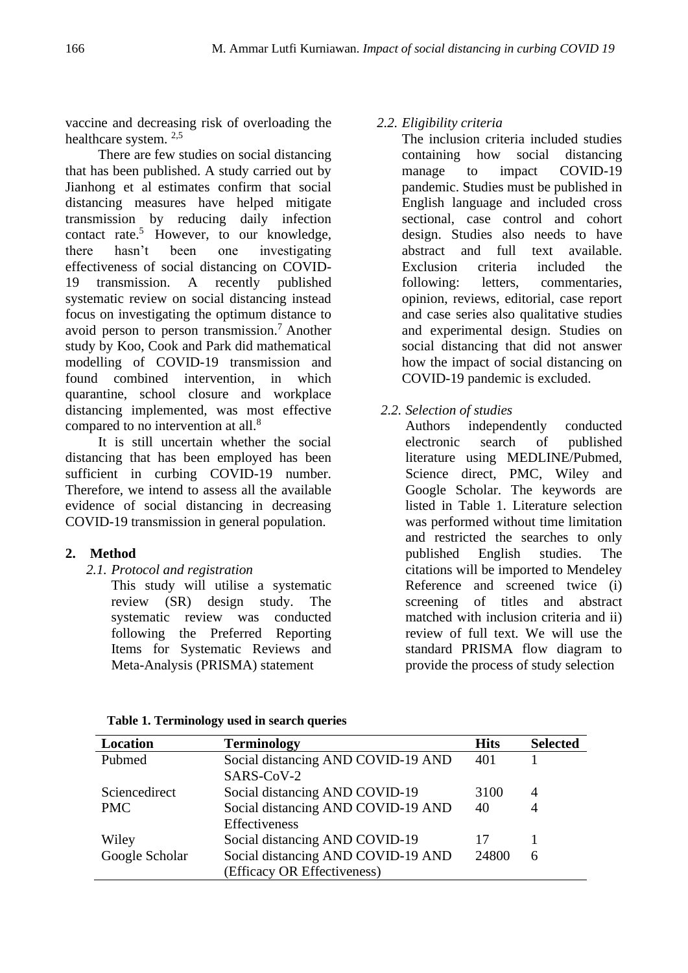vaccine and decreasing risk of overloading the healthcare system. 2,5

There are few studies on social distancing that has been published. A study carried out by Jianhong et al estimates confirm that social distancing measures have helped mitigate transmission by reducing daily infection contact rate. <sup>5</sup> However, to our knowledge, there hasn't been one investigating effectiveness of social distancing on COVID-19 transmission. A recently published systematic review on social distancing instead focus on investigating the optimum distance to avoid person to person transmission.<sup>7</sup> Another study by Koo, Cook and Park did mathematical modelling of COVID-19 transmission and found combined intervention, in which quarantine, school closure and workplace distancing implemented, was most effective compared to no intervention at all.<sup>8</sup>

It is still uncertain whether the social distancing that has been employed has been sufficient in curbing COVID-19 number. Therefore, we intend to assess all the available evidence of social distancing in decreasing COVID-19 transmission in general population.

# **2. Method**

*2.1. Protocol and registration*

This study will utilise a systematic review (SR) design study. The systematic review was conducted following the Preferred Reporting Items for Systematic Reviews and Meta-Analysis (PRISMA) statement

## *2.2. Eligibility criteria*

The inclusion criteria included studies containing how social distancing manage to impact COVID-19 pandemic. Studies must be published in English language and included cross sectional, case control and cohort design. Studies also needs to have abstract and full text available. Exclusion criteria included the following: letters, commentaries, opinion, reviews, editorial, case report and case series also qualitative studies and experimental design. Studies on social distancing that did not answer how the impact of social distancing on COVID-19 pandemic is excluded.

*2.2. Selection of studies*

Authors independently conducted electronic search of published literature using MEDLINE/Pubmed, Science direct, PMC, Wiley and Google Scholar. The keywords are listed in Table 1. Literature selection was performed without time limitation and restricted the searches to only published English studies. The citations will be imported to Mendeley Reference and screened twice (i) screening of titles and abstract matched with inclusion criteria and ii) review of full text. We will use the standard PRISMA flow diagram to provide the process of study selection

| Location       | <b>Terminology</b>                 | <b>Hits</b> | <b>Selected</b> |
|----------------|------------------------------------|-------------|-----------------|
| Pubmed         | Social distancing AND COVID-19 AND | 401         |                 |
|                | SARS-CoV-2                         |             |                 |
| Sciencedirect  | Social distancing AND COVID-19     | 3100        | 4               |
| <b>PMC</b>     | Social distancing AND COVID-19 AND | 40          | 4               |
|                | Effectiveness                      |             |                 |
| Wiley          | Social distancing AND COVID-19     | 17          |                 |
| Google Scholar | Social distancing AND COVID-19 AND | 24800       | 6               |
|                | (Efficacy OR Effectiveness)        |             |                 |

**Table 1. Terminology used in search queries**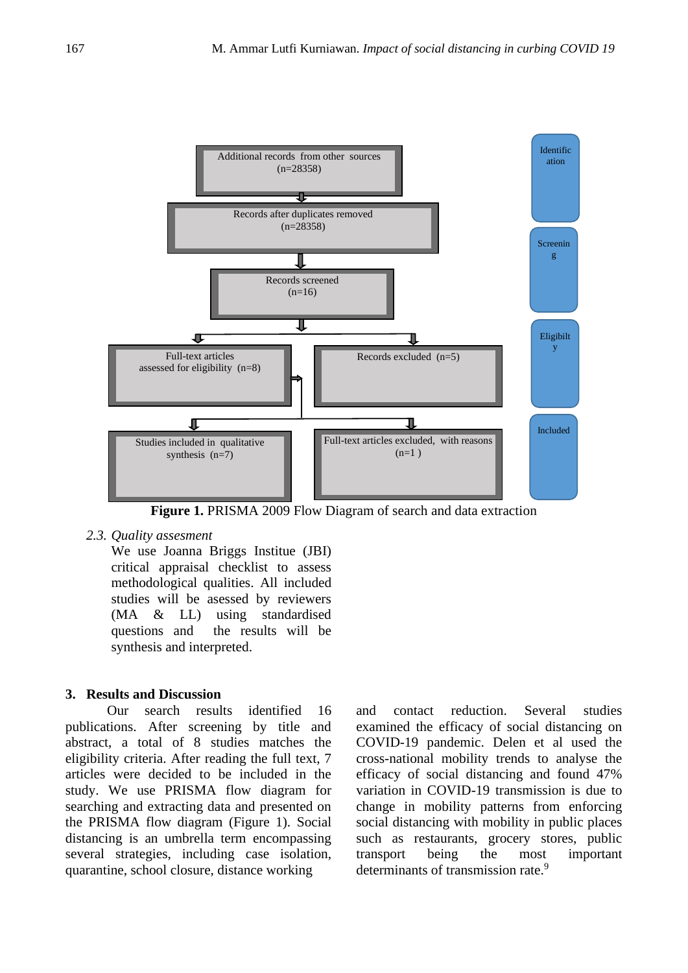

Figure 1. PRISMA 2009 Flow Diagram of search and data extraction

### *2.3. Quality assesment*

We use Joanna Briggs Institue (JBI) critical appraisal checklist to assess methodological qualities. All included studies will be asessed by reviewers (MA & LL) using standardised questions and the results will be synthesis and interpreted.

### **3. Results and Discussion**

Our search results identified 16 publications. After screening by title and abstract, a total of 8 studies matches the eligibility criteria. After reading the full text, 7 articles were decided to be included in the study. We use PRISMA flow diagram for searching and extracting data and presented on the PRISMA flow diagram (Figure 1). Social distancing is an umbrella term encompassing several strategies, including case isolation, quarantine, school closure, distance working

and contact reduction. Several studies examined the efficacy of social distancing on COVID-19 pandemic. Delen et al used the cross-national mobility trends to analyse the efficacy of social distancing and found 47% variation in COVID-19 transmission is due to change in mobility patterns from enforcing social distancing with mobility in public places such as restaurants, grocery stores, public transport being the most important determinants of transmission rate.<sup>9</sup>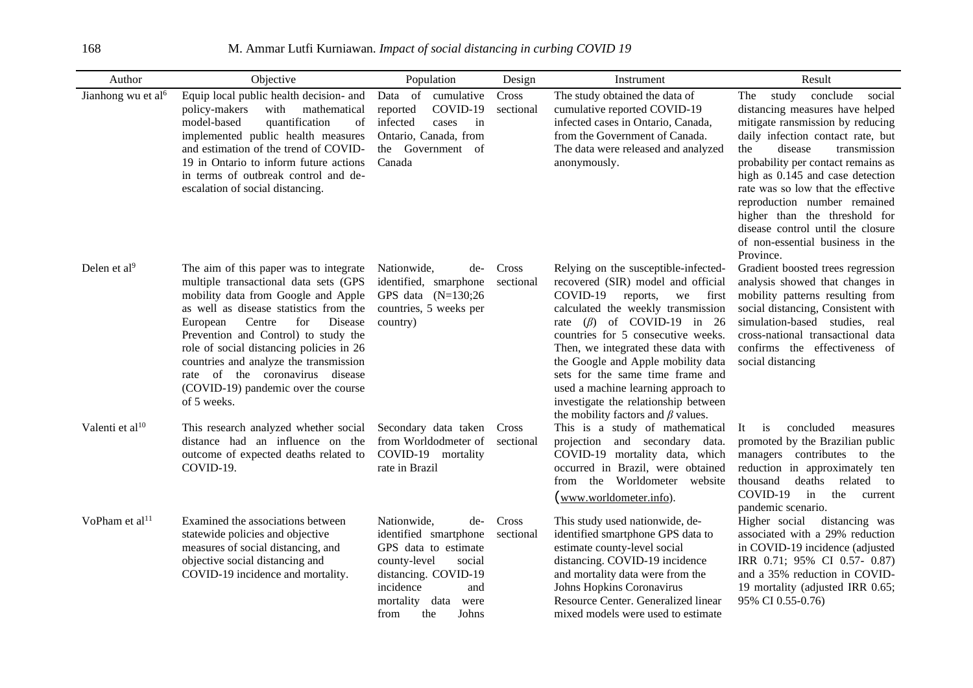168 M. Ammar Lutfi Kurniawan. *Impact of social distancing in curbing COVID 19*

| Author                         | Objective                                                                                                                                                                                                                                                                                                                                                                                                                       | Population                                                                                                                                                                                     | Design             | Instrument                                                                                                                                                                                                                                                                                                                                                                                                                                                                       | Result                                                                                                                                                                                                                                                                                                                                                                                                                                                  |
|--------------------------------|---------------------------------------------------------------------------------------------------------------------------------------------------------------------------------------------------------------------------------------------------------------------------------------------------------------------------------------------------------------------------------------------------------------------------------|------------------------------------------------------------------------------------------------------------------------------------------------------------------------------------------------|--------------------|----------------------------------------------------------------------------------------------------------------------------------------------------------------------------------------------------------------------------------------------------------------------------------------------------------------------------------------------------------------------------------------------------------------------------------------------------------------------------------|---------------------------------------------------------------------------------------------------------------------------------------------------------------------------------------------------------------------------------------------------------------------------------------------------------------------------------------------------------------------------------------------------------------------------------------------------------|
| Jianhong wu et al <sup>6</sup> | Equip local public health decision- and<br>policy-makers<br>with<br>mathematical<br>model-based<br>quantification<br>of<br>implemented public health measures<br>and estimation of the trend of COVID-<br>19 in Ontario to inform future actions<br>in terms of outbreak control and de-<br>escalation of social distancing.                                                                                                    | Data of cumulative<br>COVID-19<br>reported<br>infected<br>cases<br>in<br>Ontario, Canada, from<br>Government of<br>the<br>Canada                                                               | Cross<br>sectional | The study obtained the data of<br>cumulative reported COVID-19<br>infected cases in Ontario, Canada,<br>from the Government of Canada.<br>The data were released and analyzed<br>anonymously.                                                                                                                                                                                                                                                                                    | study<br>conclude<br>The<br>social<br>distancing measures have helped<br>mitigate ransmission by reducing<br>daily infection contact rate, but<br>disease<br>the<br>transmission<br>probability per contact remains as<br>high as 0.145 and case detection<br>rate was so low that the effective<br>reproduction number remained<br>higher than the threshold for<br>disease control until the closure<br>of non-essential business in the<br>Province. |
| Delen et al $9$                | The aim of this paper was to integrate<br>multiple transactional data sets (GPS<br>mobility data from Google and Apple<br>as well as disease statistics from the<br>Centre<br>Disease<br>European<br>for<br>Prevention and Control) to study the<br>role of social distancing policies in 26<br>countries and analyze the transmission<br>rate of the coronavirus disease<br>(COVID-19) pandemic over the course<br>of 5 weeks. | Nationwide,<br>de-<br>identified, smarphone<br>GPS data $(N=130;26$<br>countries, 5 weeks per<br>country)                                                                                      | Cross<br>sectional | Relying on the susceptible-infected-<br>recovered (SIR) model and official<br>COVID-19<br>first<br>reports,<br>we<br>calculated the weekly transmission<br>$(\beta)$ of COVID-19 in 26<br>rate<br>countries for 5 consecutive weeks.<br>Then, we integrated these data with<br>the Google and Apple mobility data<br>sets for the same time frame and<br>used a machine learning approach to<br>investigate the relationship between<br>the mobility factors and $\beta$ values. | Gradient boosted trees regression<br>analysis showed that changes in<br>mobility patterns resulting from<br>social distancing, Consistent with<br>simulation-based studies, real<br>cross-national transactional data<br>confirms the effectiveness of<br>social distancing                                                                                                                                                                             |
| Valenti et al <sup>10</sup>    | This research analyzed whether social<br>distance had an influence on the<br>outcome of expected deaths related to<br>COVID-19.                                                                                                                                                                                                                                                                                                 | Secondary data taken<br>from Worldodmeter of<br>COVID-19 mortality<br>rate in Brazil                                                                                                           | Cross<br>sectional | This is a study of mathematical<br>projection and secondary data.<br>COVID-19 mortality data, which<br>occurred in Brazil, were obtained<br>from the Worldometer<br>website<br><u>(www.worldometer.info)</u> .                                                                                                                                                                                                                                                                   | concluded<br>It<br>is<br>measures<br>promoted by the Brazilian public<br>managers contributes to the<br>reduction in approximately ten<br>thousand<br>deaths<br>related<br>to<br>COVID-19<br>in<br>the<br>current<br>pandemic scenario.                                                                                                                                                                                                                 |
| VoPham et al <sup>11</sup>     | Examined the associations between<br>statewide policies and objective<br>measures of social distancing, and<br>objective social distancing and<br>COVID-19 incidence and mortality.                                                                                                                                                                                                                                             | Nationwide,<br>de-<br>identified smartphone<br>GPS data to estimate<br>county-level<br>social<br>distancing. COVID-19<br>incidence<br>and<br>data<br>mortality<br>were<br>the<br>Johns<br>from | Cross<br>sectional | This study used nationwide, de-<br>identified smartphone GPS data to<br>estimate county-level social<br>distancing. COVID-19 incidence<br>and mortality data were from the<br>Johns Hopkins Coronavirus<br>Resource Center. Generalized linear<br>mixed models were used to estimate                                                                                                                                                                                             | Higher social<br>distancing was<br>associated with a 29% reduction<br>in COVID-19 incidence (adjusted<br>IRR 0.71; 95% CI 0.57- 0.87)<br>and a 35% reduction in COVID-<br>19 mortality (adjusted IRR 0.65;<br>95% CI 0.55-0.76)                                                                                                                                                                                                                         |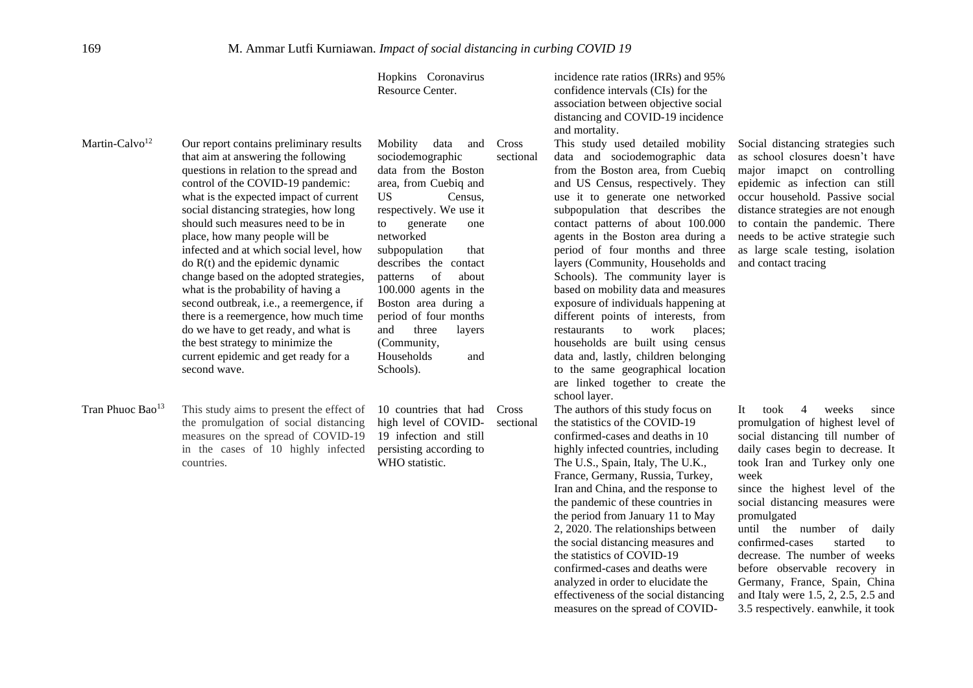|                              |                                                                                                                                                                                                                                                                                                                                                                                                                                                                                                                                                                                                                                                                                                                         | Hopkins Coronavirus<br>Resource Center.                                                                                                                                                                                                                                                                                                                                                                                       |                    | incidence rate ratios (IRRs) and 95%<br>confidence intervals (CIs) for the<br>association between objective social<br>distancing and COVID-19 incidence<br>and mortality.                                                                                                                                                                                                                                                                                                                                                                                                                                                                                                                                                                          |                                                                                                                                                                                                                                                                                                                                                                                                                                                                                                                                  |
|------------------------------|-------------------------------------------------------------------------------------------------------------------------------------------------------------------------------------------------------------------------------------------------------------------------------------------------------------------------------------------------------------------------------------------------------------------------------------------------------------------------------------------------------------------------------------------------------------------------------------------------------------------------------------------------------------------------------------------------------------------------|-------------------------------------------------------------------------------------------------------------------------------------------------------------------------------------------------------------------------------------------------------------------------------------------------------------------------------------------------------------------------------------------------------------------------------|--------------------|----------------------------------------------------------------------------------------------------------------------------------------------------------------------------------------------------------------------------------------------------------------------------------------------------------------------------------------------------------------------------------------------------------------------------------------------------------------------------------------------------------------------------------------------------------------------------------------------------------------------------------------------------------------------------------------------------------------------------------------------------|----------------------------------------------------------------------------------------------------------------------------------------------------------------------------------------------------------------------------------------------------------------------------------------------------------------------------------------------------------------------------------------------------------------------------------------------------------------------------------------------------------------------------------|
| Martin-Calvo <sup>12</sup>   | Our report contains preliminary results<br>that aim at answering the following<br>questions in relation to the spread and<br>control of the COVID-19 pandemic:<br>what is the expected impact of current<br>social distancing strategies, how long<br>should such measures need to be in<br>place, how many people will be<br>infected and at which social level, how<br>do $R(t)$ and the epidemic dynamic<br>change based on the adopted strategies,<br>what is the probability of having a<br>second outbreak, i.e., a reemergence, if<br>there is a reemergence, how much time<br>do we have to get ready, and what is<br>the best strategy to minimize the<br>current epidemic and get ready for a<br>second wave. | Mobility<br>data<br>and<br>sociodemographic<br>data from the Boston<br>area, from Cuebiq and<br>US <sub>1</sub><br>Census,<br>respectively. We use it<br>generate<br>to<br>one<br>networked<br>subpopulation<br>that<br>describes the contact<br>of<br>about<br>patterns<br>100.000 agents in the<br>Boston area during a<br>period of four months<br>and<br>three<br>layers<br>(Community,<br>Households<br>and<br>Schools). | Cross<br>sectional | This study used detailed mobility<br>data and sociodemographic data<br>from the Boston area, from Cuebiq<br>and US Census, respectively. They<br>use it to generate one networked<br>subpopulation that describes the<br>contact patterns of about 100.000<br>agents in the Boston area during a<br>period of four months and three<br>layers (Community, Households and<br>Schools). The community layer is<br>based on mobility data and measures<br>exposure of individuals happening at<br>different points of interests, from<br>to<br>work<br>restaurants<br>places:<br>households are built using census<br>data and, lastly, children belonging<br>to the same geographical location<br>are linked together to create the<br>school layer. | Social distancing strategies such<br>as school closures doesn't have<br>major imapct on controlling<br>epidemic as infection can still<br>occur household. Passive social<br>distance strategies are not enough<br>to contain the pandemic. There<br>needs to be active strategie such<br>as large scale testing, isolation<br>and contact tracing                                                                                                                                                                               |
| Tran Phuoc Bao <sup>13</sup> | This study aims to present the effect of<br>the promulgation of social distancing<br>measures on the spread of COVID-19<br>in the cases of 10 highly infected<br>countries.                                                                                                                                                                                                                                                                                                                                                                                                                                                                                                                                             | 10 countries that had<br>high level of COVID-<br>19 infection and still<br>persisting according to<br>WHO statistic.                                                                                                                                                                                                                                                                                                          | Cross<br>sectional | The authors of this study focus on<br>the statistics of the COVID-19<br>confirmed-cases and deaths in 10<br>highly infected countries, including<br>The U.S., Spain, Italy, The U.K.,<br>France, Germany, Russia, Turkey,<br>Iran and China, and the response to<br>the pandemic of these countries in<br>the period from January 11 to May<br>2, 2020. The relationships between<br>the social distancing measures and<br>the statistics of COVID-19<br>confirmed-cases and deaths were<br>analyzed in order to elucidate the<br>effectiveness of the social distancing<br>measures on the spread of COVID-                                                                                                                                       | 4<br>weeks<br>It<br>took<br>since<br>promulgation of highest level of<br>social distancing till number of<br>daily cases begin to decrease. It<br>took Iran and Turkey only one<br>week<br>since the highest level of the<br>social distancing measures were<br>promulgated<br>until the number of<br>daily<br>confirmed-cases<br>started<br>to<br>decrease. The number of weeks<br>before observable recovery in<br>Germany, France, Spain, China<br>and Italy were 1.5, 2, 2.5, 2.5 and<br>3.5 respectively. eanwhile, it took |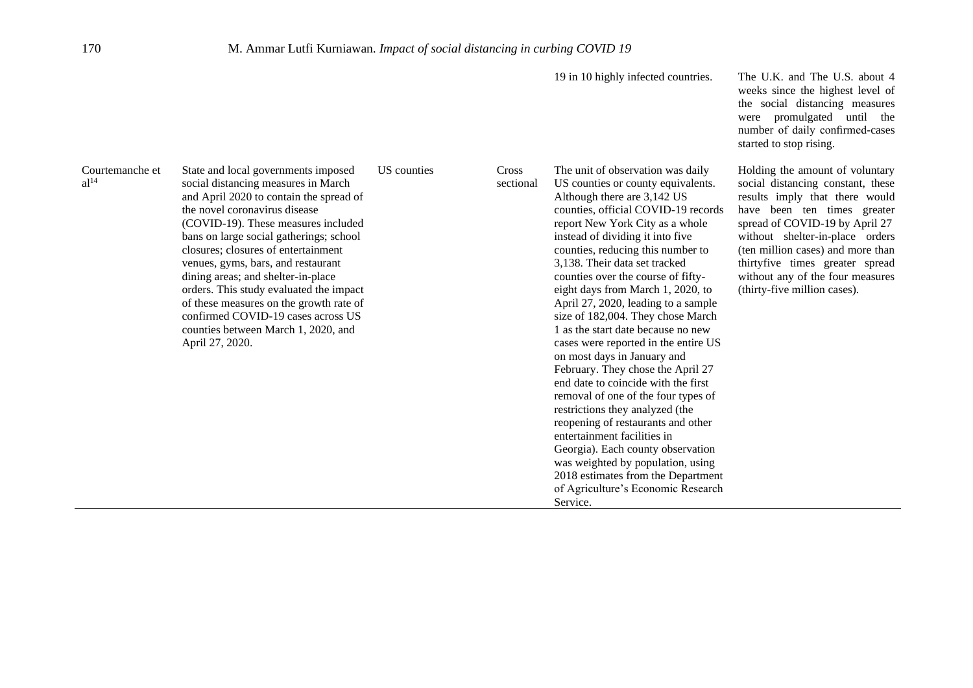19 in 10 highly infected countries. The U.K. and The U.S. about 4 weeks since the highest level of the social distancing measures were promulgated until the number of daily confirmed-cases started to stop rising.

> Holding the amount of voluntary social distancing constant, these results imply that there would have been ten times greater spread of COVID-19 by April 27 without shelter-in-place orders (ten million cases) and more than thirtyfive times greater spread without any of the four measures (thirty-five million cases).

| Courtemanche et<br>al <sup>14</sup> | State and local governments imposed<br>social distancing measures in March<br>and April 2020 to contain the spread of<br>the novel coronavirus disease<br>(COVID-19). These measures included<br>bans on large social gatherings; school<br>closures; closures of entertainment<br>venues, gyms, bars, and restaurant<br>dining areas; and shelter-in-place<br>orders. This study evaluated the impact<br>of these measures on the growth rate of<br>confirmed COVID-19 cases across US<br>counties between March 1, 2020, and<br>April 27, 2020. | US counties | Cross<br>sectional | The unit of observation was daily<br>US counties or county equivalents.<br>Although there are 3,142 US<br>counties, official COVID-19 records<br>report New York City as a whole<br>instead of dividing it into five<br>counties, reducing this number to<br>3,138. Their data set tracked<br>counties over the course of fifty-<br>eight days from March 1, 2020, to<br>April 27, 2020, leading to a sample<br>size of 182,004. They chose March<br>1 as the start date because no new<br>cases were reported in the entire US<br>on most days in January and<br>February. They chose the April 27<br>end date to coincide with the first<br>removal of one of the four types of<br>restrictions they analyzed (the<br>reopening of restaurants and other<br>entertainment facilities in<br>Georgia). Each county observation<br>was weighted by population, using<br>2018 estimates from the Department<br>of Agriculture's Economic Research<br>Service. |
|-------------------------------------|---------------------------------------------------------------------------------------------------------------------------------------------------------------------------------------------------------------------------------------------------------------------------------------------------------------------------------------------------------------------------------------------------------------------------------------------------------------------------------------------------------------------------------------------------|-------------|--------------------|-------------------------------------------------------------------------------------------------------------------------------------------------------------------------------------------------------------------------------------------------------------------------------------------------------------------------------------------------------------------------------------------------------------------------------------------------------------------------------------------------------------------------------------------------------------------------------------------------------------------------------------------------------------------------------------------------------------------------------------------------------------------------------------------------------------------------------------------------------------------------------------------------------------------------------------------------------------|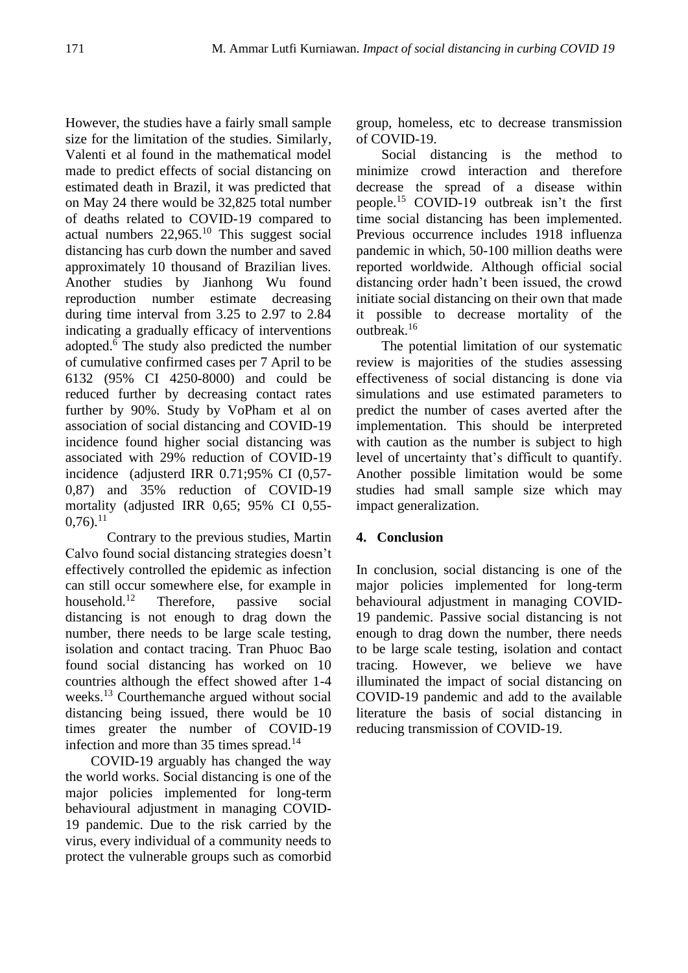However, the studies have a fairly small sample size for the limitation of the studies. Similarly, Valenti et al found in the mathematical model made to predict effects of social distancing on estimated death in Brazil, it was predicted that on May 24 there would be 32,825 total number of deaths related to COVID-19 compared to actual numbers  $22,965$ .<sup>10</sup> This suggest social distancing has curb down the number and saved approximately 10 thousand of Brazilian lives. Another studies by Jianhong Wu found reproduction number estimate decreasing during time interval from 3.25 to 2.97 to 2.84 indicating a gradually efficacy of interventions adopted.<sup>6</sup> The study also predicted the number of cumulative confirmed cases per 7 April to be 6132 (95% CI 4250-8000) and could be reduced further by decreasing contact rates further by 90%. Study by VoPham et al on association of social distancing and COVID-19 incidence found higher social distancing was associated with 29% reduction of COVID-19 incidence (adjusterd IRR 0.71;95% CI (0,57- 0,87) and 35% reduction of COVID-19 mortality (adjusted IRR 0,65; 95% CI 0,55-  $0.76$ .<sup>11</sup>

Contrary to the previous studies, Martin Calvo found social distancing strategies doesn't effectively controlled the epidemic as infection can still occur somewhere else, for example in household.<sup>12</sup> Therefore, passive social distancing is not enough to drag down the number, there needs to be large scale testing, isolation and contact tracing. Tran Phuoc Bao found social distancing has worked on 10 countries although the effect showed after 1-4 weeks.<sup>13</sup> Courthemanche argued without social distancing being issued, there would be 10 times greater the number of COVID-19 infection and more than 35 times spread.<sup>14</sup>

COVID-19 arguably has changed the way the world works. Social distancing is one of the major policies implemented for long-term behavioural adjustment in managing COVID-19 pandemic. Due to the risk carried by the virus, every individual of a community needs to protect the vulnerable groups such as comorbid group, homeless, etc to decrease transmission of COVID-19.

Social distancing is the method to minimize crowd interaction and therefore decrease the spread of a disease within people.<sup>15</sup> COVID-19 outbreak isn't the first time social distancing has been implemented. Previous occurrence includes 1918 influenza pandemic in which, 50-100 million deaths were reported worldwide. Although official social distancing order hadn't been issued, the crowd initiate social distancing on their own that made it possible to decrease mortality of the outbreak.<sup>16</sup>

The potential limitation of our systematic review is majorities of the studies assessing effectiveness of social distancing is done via simulations and use estimated parameters to predict the number of cases averted after the implementation. This should be interpreted with caution as the number is subject to high level of uncertainty that's difficult to quantify. Another possible limitation would be some studies had small sample size which may impact generalization.

## **4. Conclusion**

In conclusion, social distancing is one of the major policies implemented for long-term behavioural adjustment in managing COVID-19 pandemic. Passive social distancing is not enough to drag down the number, there needs to be large scale testing, isolation and contact tracing. However, we believe we have illuminated the impact of social distancing on COVID-19 pandemic and add to the available literature the basis of social distancing in reducing transmission of COVID-19.